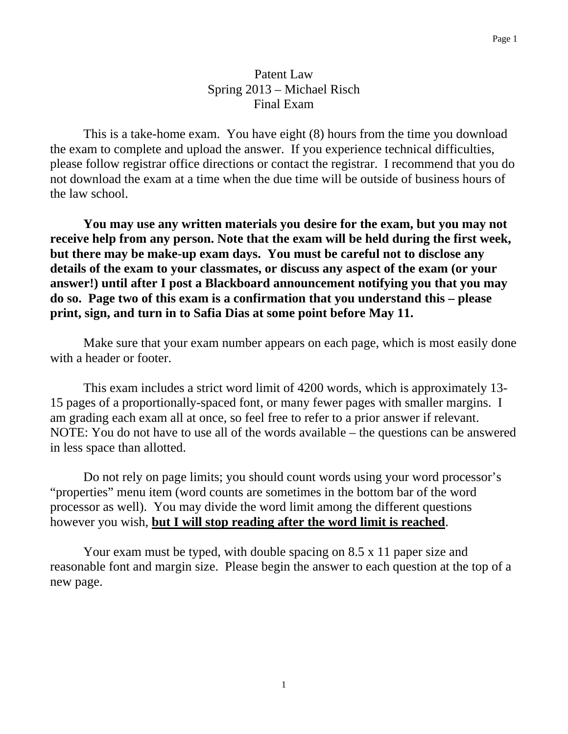### Patent Law Spring 2013 – Michael Risch Final Exam

 This is a take-home exam. You have eight (8) hours from the time you download the exam to complete and upload the answer. If you experience technical difficulties, please follow registrar office directions or contact the registrar. I recommend that you do not download the exam at a time when the due time will be outside of business hours of the law school.

**You may use any written materials you desire for the exam, but you may not receive help from any person. Note that the exam will be held during the first week, but there may be make-up exam days. You must be careful not to disclose any details of the exam to your classmates, or discuss any aspect of the exam (or your answer!) until after I post a Blackboard announcement notifying you that you may do so. Page two of this exam is a confirmation that you understand this – please print, sign, and turn in to Safia Dias at some point before May 11.** 

Make sure that your exam number appears on each page, which is most easily done with a header or footer.

 This exam includes a strict word limit of 4200 words, which is approximately 13- 15 pages of a proportionally-spaced font, or many fewer pages with smaller margins. I am grading each exam all at once, so feel free to refer to a prior answer if relevant. NOTE: You do not have to use all of the words available – the questions can be answered in less space than allotted.

Do not rely on page limits; you should count words using your word processor's "properties" menu item (word counts are sometimes in the bottom bar of the word processor as well). You may divide the word limit among the different questions however you wish, **but I will stop reading after the word limit is reached**.

 Your exam must be typed, with double spacing on 8.5 x 11 paper size and reasonable font and margin size. Please begin the answer to each question at the top of a new page.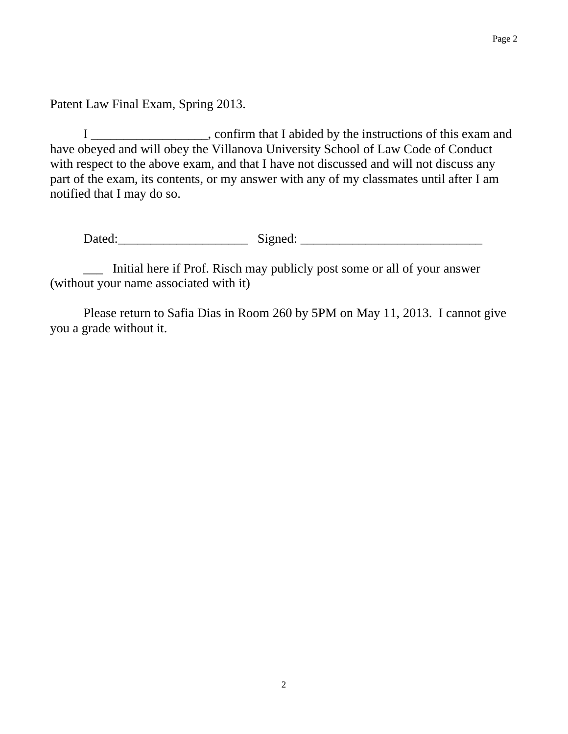Patent Law Final Exam, Spring 2013.

I \_\_\_\_\_\_\_\_\_\_\_\_\_\_\_\_\_\_, confirm that I abided by the instructions of this exam and have obeyed and will obey the Villanova University School of Law Code of Conduct with respect to the above exam, and that I have not discussed and will not discuss any part of the exam, its contents, or my answer with any of my classmates until after I am notified that I may do so.

Dated:\_\_\_\_\_\_\_\_\_\_\_\_\_\_\_\_\_\_\_\_ Signed: \_\_\_\_\_\_\_\_\_\_\_\_\_\_\_\_\_\_\_\_\_\_\_\_\_\_\_\_

\_\_\_ Initial here if Prof. Risch may publicly post some or all of your answer (without your name associated with it)

Please return to Safia Dias in Room 260 by 5PM on May 11, 2013. I cannot give you a grade without it.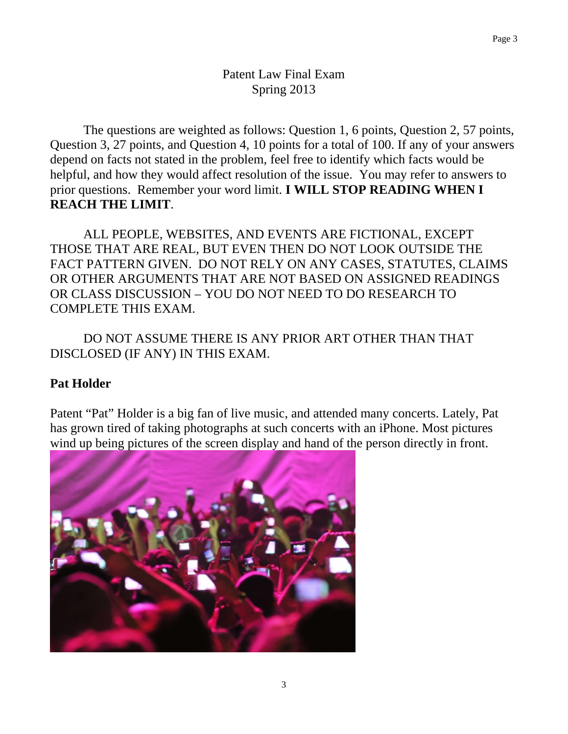# Patent Law Final Exam Spring 2013

The questions are weighted as follows: Question 1, 6 points, Question 2, 57 points, Question 3, 27 points, and Question 4, 10 points for a total of 100. If any of your answers depend on facts not stated in the problem, feel free to identify which facts would be helpful, and how they would affect resolution of the issue. You may refer to answers to prior questions. Remember your word limit. **I WILL STOP READING WHEN I REACH THE LIMIT**.

ALL PEOPLE, WEBSITES, AND EVENTS ARE FICTIONAL, EXCEPT THOSE THAT ARE REAL, BUT EVEN THEN DO NOT LOOK OUTSIDE THE FACT PATTERN GIVEN. DO NOT RELY ON ANY CASES, STATUTES, CLAIMS OR OTHER ARGUMENTS THAT ARE NOT BASED ON ASSIGNED READINGS OR CLASS DISCUSSION – YOU DO NOT NEED TO DO RESEARCH TO COMPLETE THIS EXAM.

DO NOT ASSUME THERE IS ANY PRIOR ART OTHER THAN THAT DISCLOSED (IF ANY) IN THIS EXAM.

# **Pat Holder**

Patent "Pat" Holder is a big fan of live music, and attended many concerts. Lately, Pat has grown tired of taking photographs at such concerts with an iPhone. Most pictures wind up being pictures of the screen display and hand of the person directly in front.

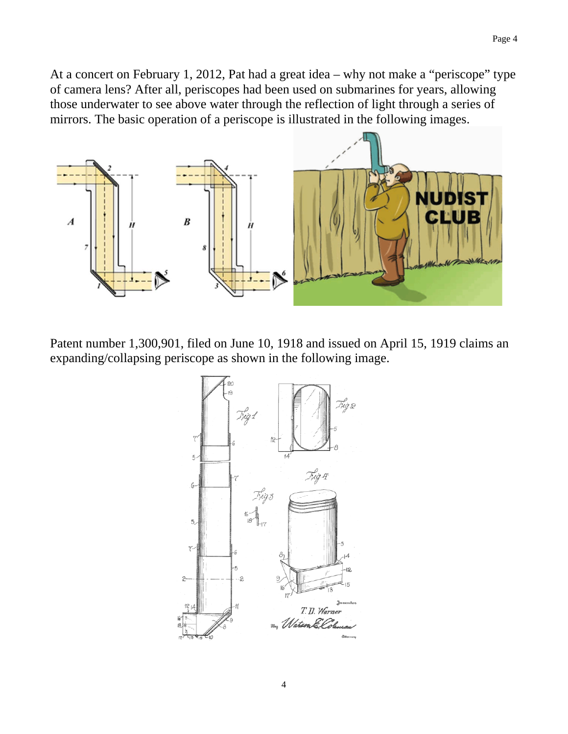At a concert on February 1, 2012, Pat had a great idea – why not make a "periscope" type of camera lens? After all, periscopes had been used on submarines for years, allowing those underwater to see above water through the reflection of light through a series of mirrors. The basic operation of a periscope is illustrated in the following images.



Patent number 1,300,901, filed on June 10, 1918 and issued on April 15, 1919 claims an expanding/collapsing periscope as shown in the following image.

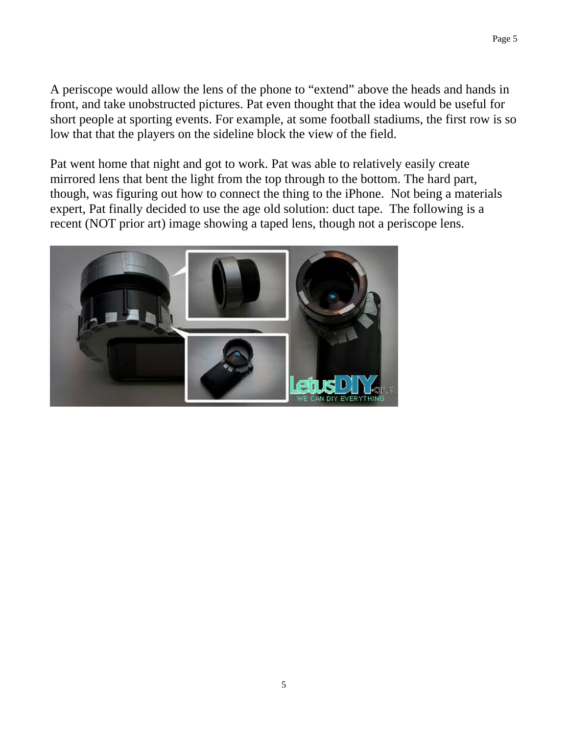A periscope would allow the lens of the phone to "extend" above the heads and hands in front, and take unobstructed pictures. Pat even thought that the idea would be useful for short people at sporting events. For example, at some football stadiums, the first row is so low that that the players on the sideline block the view of the field.

Pat went home that night and got to work. Pat was able to relatively easily create mirrored lens that bent the light from the top through to the bottom. The hard part, though, was figuring out how to connect the thing to the iPhone. Not being a materials expert, Pat finally decided to use the age old solution: duct tape. The following is a recent (NOT prior art) image showing a taped lens, though not a periscope lens.

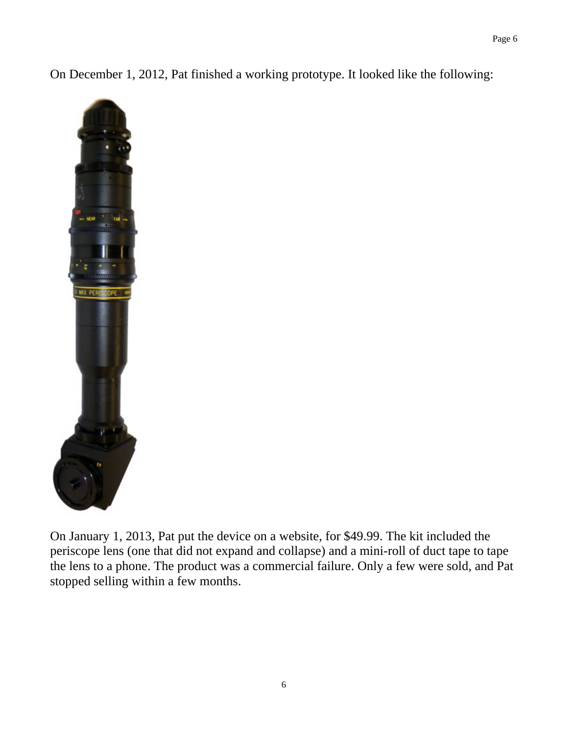On December 1, 2012, Pat finished a working prototype. It looked like the following:



On January 1, 2013, Pat put the device on a website, for \$49.99. The kit included the periscope lens (one that did not expand and collapse) and a mini-roll of duct tape to tape the lens to a phone. The product was a commercial failure. Only a few were sold, and Pat stopped selling within a few months.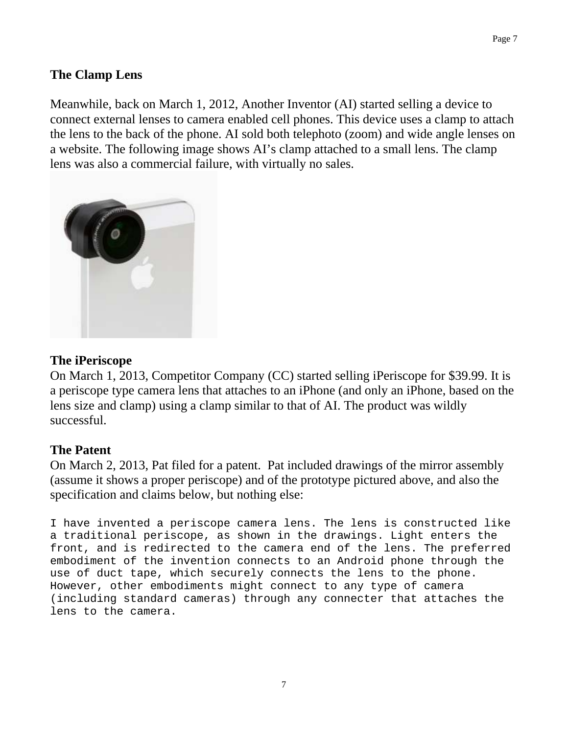# **The Clamp Lens**

Meanwhile, back on March 1, 2012, Another Inventor (AI) started selling a device to connect external lenses to camera enabled cell phones. This device uses a clamp to attach the lens to the back of the phone. AI sold both telephoto (zoom) and wide angle lenses on a website. The following image shows AI's clamp attached to a small lens. The clamp lens was also a commercial failure, with virtually no sales.



#### **The iPeriscope**

On March 1, 2013, Competitor Company (CC) started selling iPeriscope for \$39.99. It is a periscope type camera lens that attaches to an iPhone (and only an iPhone, based on the lens size and clamp) using a clamp similar to that of AI. The product was wildly successful.

### **The Patent**

On March 2, 2013, Pat filed for a patent. Pat included drawings of the mirror assembly (assume it shows a proper periscope) and of the prototype pictured above, and also the specification and claims below, but nothing else:

I have invented a periscope camera lens. The lens is constructed like a traditional periscope, as shown in the drawings. Light enters the front, and is redirected to the camera end of the lens. The preferred embodiment of the invention connects to an Android phone through the use of duct tape, which securely connects the lens to the phone. However, other embodiments might connect to any type of camera (including standard cameras) through any connecter that attaches the lens to the camera.